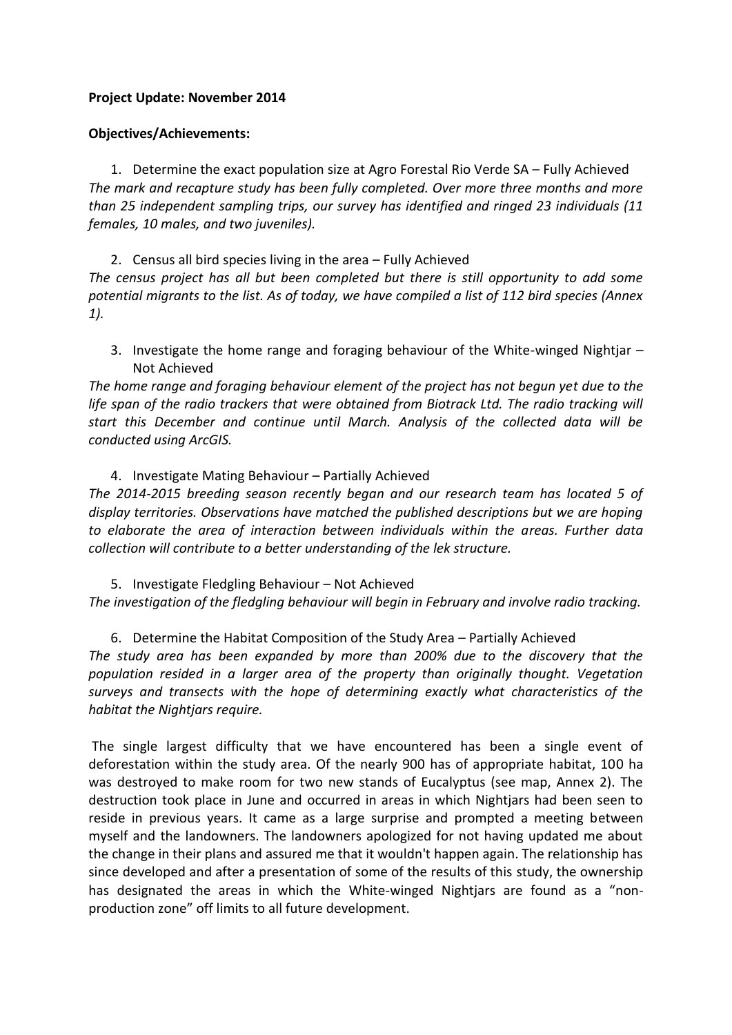## **Project Update: November 2014**

# **Objectives/Achievements:**

1. Determine the exact population size at Agro Forestal Rio Verde SA – Fully Achieved *The mark and recapture study has been fully completed. Over more three months and more than 25 independent sampling trips, our survey has identified and ringed 23 individuals (11 females, 10 males, and two juveniles).* 

2. Census all bird species living in the area – Fully Achieved *The census project has all but been completed but there is still opportunity to add some potential migrants to the list. As of today, we have compiled a list of 112 bird species (Annex 1).*

3. Investigate the home range and foraging behaviour of the White-winged Nightjar – Not Achieved

*The home range and foraging behaviour element of the project has not begun yet due to the*  life span of the radio trackers that were obtained from Biotrack Ltd. The radio tracking will *start this December and continue until March. Analysis of the collected data will be conducted using ArcGIS.*

## 4. Investigate Mating Behaviour – Partially Achieved

*The 2014-2015 breeding season recently began and our research team has located 5 of display territories. Observations have matched the published descriptions but we are hoping to elaborate the area of interaction between individuals within the areas. Further data collection will contribute to a better understanding of the lek structure.*

5. Investigate Fledgling Behaviour – Not Achieved

*The investigation of the fledgling behaviour will begin in February and involve radio tracking.*

# 6. Determine the Habitat Composition of the Study Area – Partially Achieved

*The study area has been expanded by more than 200% due to the discovery that the population resided in a larger area of the property than originally thought. Vegetation surveys and transects with the hope of determining exactly what characteristics of the habitat the Nightjars require.*

The single largest difficulty that we have encountered has been a single event of deforestation within the study area. Of the nearly 900 has of appropriate habitat, 100 ha was destroyed to make room for two new stands of Eucalyptus (see map, Annex 2). The destruction took place in June and occurred in areas in which Nightjars had been seen to reside in previous years. It came as a large surprise and prompted a meeting between myself and the landowners. The landowners apologized for not having updated me about the change in their plans and assured me that it wouldn't happen again. The relationship has since developed and after a presentation of some of the results of this study, the ownership has designated the areas in which the White-winged Nightjars are found as a "nonproduction zone" off limits to all future development.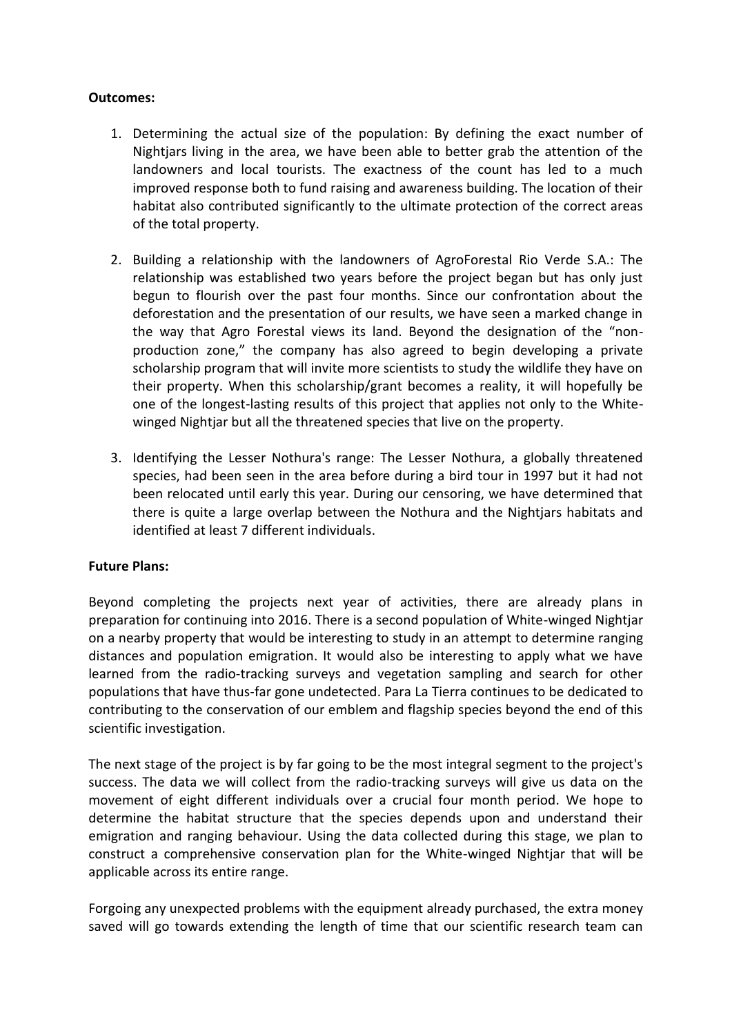# **Outcomes:**

- 1. Determining the actual size of the population: By defining the exact number of Nightjars living in the area, we have been able to better grab the attention of the landowners and local tourists. The exactness of the count has led to a much improved response both to fund raising and awareness building. The location of their habitat also contributed significantly to the ultimate protection of the correct areas of the total property.
- 2. Building a relationship with the landowners of AgroForestal Rio Verde S.A.: The relationship was established two years before the project began but has only just begun to flourish over the past four months. Since our confrontation about the deforestation and the presentation of our results, we have seen a marked change in the way that Agro Forestal views its land. Beyond the designation of the "nonproduction zone," the company has also agreed to begin developing a private scholarship program that will invite more scientists to study the wildlife they have on their property. When this scholarship/grant becomes a reality, it will hopefully be one of the longest-lasting results of this project that applies not only to the Whitewinged Nightjar but all the threatened species that live on the property.
- 3. Identifying the Lesser Nothura's range: The Lesser Nothura, a globally threatened species, had been seen in the area before during a bird tour in 1997 but it had not been relocated until early this year. During our censoring, we have determined that there is quite a large overlap between the Nothura and the Nightjars habitats and identified at least 7 different individuals.

## **Future Plans:**

Beyond completing the projects next year of activities, there are already plans in preparation for continuing into 2016. There is a second population of White-winged Nightjar on a nearby property that would be interesting to study in an attempt to determine ranging distances and population emigration. It would also be interesting to apply what we have learned from the radio-tracking surveys and vegetation sampling and search for other populations that have thus-far gone undetected. Para La Tierra continues to be dedicated to contributing to the conservation of our emblem and flagship species beyond the end of this scientific investigation.

The next stage of the project is by far going to be the most integral segment to the project's success. The data we will collect from the radio-tracking surveys will give us data on the movement of eight different individuals over a crucial four month period. We hope to determine the habitat structure that the species depends upon and understand their emigration and ranging behaviour. Using the data collected during this stage, we plan to construct a comprehensive conservation plan for the White-winged Nightjar that will be applicable across its entire range.

Forgoing any unexpected problems with the equipment already purchased, the extra money saved will go towards extending the length of time that our scientific research team can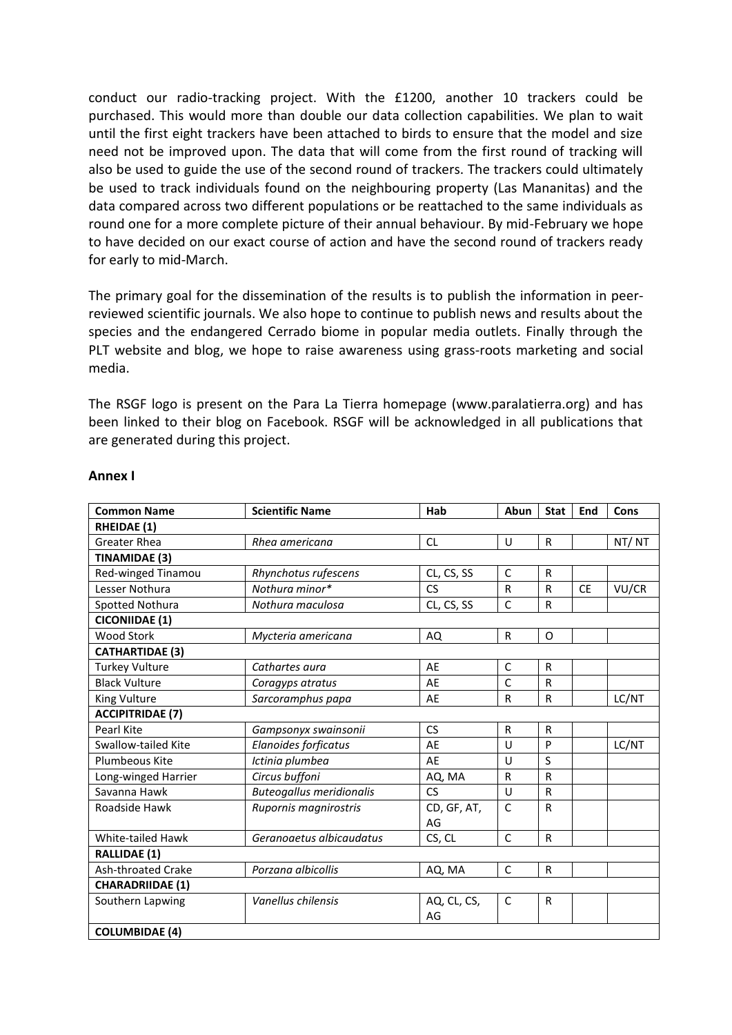conduct our radio-tracking project. With the £1200, another 10 trackers could be purchased. This would more than double our data collection capabilities. We plan to wait until the first eight trackers have been attached to birds to ensure that the model and size need not be improved upon. The data that will come from the first round of tracking will also be used to guide the use of the second round of trackers. The trackers could ultimately be used to track individuals found on the neighbouring property (Las Mananitas) and the data compared across two different populations or be reattached to the same individuals as round one for a more complete picture of their annual behaviour. By mid-February we hope to have decided on our exact course of action and have the second round of trackers ready for early to mid-March.

The primary goal for the dissemination of the results is to publish the information in peerreviewed scientific journals. We also hope to continue to publish news and results about the species and the endangered Cerrado biome in popular media outlets. Finally through the PLT website and blog, we hope to raise awareness using grass-roots marketing and social media.

The RSGF logo is present on the Para La Tierra homepage (www.paralatierra.org) and has been linked to their blog on Facebook. RSGF will be acknowledged in all publications that are generated during this project.

| <b>Common Name</b>        | <b>Scientific Name</b>          | Hab         | Abun         | <b>Stat</b>  | End       | Cons  |  |
|---------------------------|---------------------------------|-------------|--------------|--------------|-----------|-------|--|
| <b>RHEIDAE (1)</b>        |                                 |             |              |              |           |       |  |
| <b>Greater Rhea</b>       | Rhea americana                  | <b>CL</b>   | U            | $\mathsf{R}$ |           | NT/NT |  |
| <b>TINAMIDAE (3)</b>      |                                 |             |              |              |           |       |  |
| Red-winged Tinamou        | Rhynchotus rufescens            | CL, CS, SS  | $\mathsf{C}$ | $\mathsf R$  |           |       |  |
| Lesser Nothura            | Nothura minor*                  | <b>CS</b>   | R            | R            | <b>CE</b> | VU/CR |  |
| Spotted Nothura           | Nothura maculosa                | CL, CS, SS  | $\mathsf{C}$ | $\mathsf R$  |           |       |  |
| <b>CICONIIDAE (1)</b>     |                                 |             |              |              |           |       |  |
| <b>Wood Stork</b>         | Mycteria americana              | AQ          | R            | O            |           |       |  |
| <b>CATHARTIDAE (3)</b>    |                                 |             |              |              |           |       |  |
| <b>Turkey Vulture</b>     | Cathartes aura                  | AE          | C            | R            |           |       |  |
| <b>Black Vulture</b>      | Coragyps atratus                | AE          | $\mathsf{C}$ | R            |           |       |  |
| King Vulture              | Sarcoramphus papa               | AE          | R            | $\mathsf R$  |           | LC/NT |  |
| <b>ACCIPITRIDAE (7)</b>   |                                 |             |              |              |           |       |  |
| Pearl Kite                | Gampsonyx swainsonii            | <b>CS</b>   | R            | $\mathsf{R}$ |           |       |  |
| Swallow-tailed Kite       | Elanoides forficatus            | AE          | U            | P            |           | LC/NT |  |
| Plumbeous Kite            | Ictinia plumbea                 | AE          | $\cup$       | S            |           |       |  |
| Long-winged Harrier       | Circus buffoni                  | AQ, MA      | R            | $\mathsf{R}$ |           |       |  |
| Savanna Hawk              | <b>Buteogallus meridionalis</b> | CS          | U            | $\mathsf R$  |           |       |  |
| Roadside Hawk             | Rupornis magnirostris           | CD, GF, AT, | $\mathsf{C}$ | R            |           |       |  |
|                           |                                 | AG          |              |              |           |       |  |
| White-tailed Hawk         | Geranoaetus albicaudatus        | CS, CL      | $\mathsf{C}$ | $\mathsf R$  |           |       |  |
| <b>RALLIDAE (1)</b>       |                                 |             |              |              |           |       |  |
| <b>Ash-throated Crake</b> | Porzana albicollis              | AQ, MA      | $\mathsf{C}$ | $\mathsf{R}$ |           |       |  |
| <b>CHARADRIIDAE (1)</b>   |                                 |             |              |              |           |       |  |
| Southern Lapwing          | Vanellus chilensis              | AQ, CL, CS, | C            | R            |           |       |  |
|                           |                                 | AG          |              |              |           |       |  |
| <b>COLUMBIDAE (4)</b>     |                                 |             |              |              |           |       |  |

### **Annex I**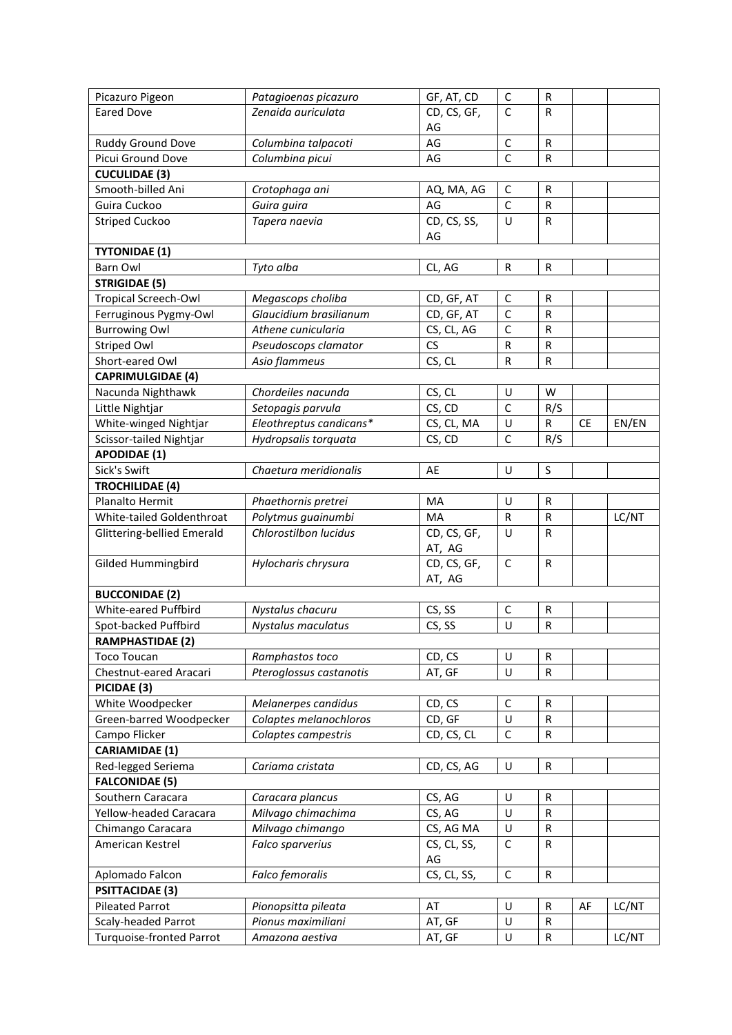| Picazuro Pigeon                 | Patagioenas picazuro    | GF, AT, CD  | $\mathsf C$                 | R            |           |       |
|---------------------------------|-------------------------|-------------|-----------------------------|--------------|-----------|-------|
| <b>Eared Dove</b>               | Zenaida auriculata      | CD, CS, GF, | $\mathsf{C}$                | $\mathsf{R}$ |           |       |
|                                 |                         | AG          |                             |              |           |       |
| Ruddy Ground Dove               | Columbina talpacoti     | AG          | $\mathsf C$                 | $\mathsf{R}$ |           |       |
| Picui Ground Dove               | Columbina picui         | AG          | $\mathsf{C}$                | $\mathsf{R}$ |           |       |
|                                 |                         |             |                             |              |           |       |
| <b>CUCULIDAE (3)</b>            |                         |             |                             |              |           |       |
| Smooth-billed Ani               | Crotophaga ani          | AQ, MA, AG  | C<br>$\mathsf{C}$           | R            |           |       |
| Guira Cuckoo                    | Guira guira             | AG          |                             | $\mathsf{R}$ |           |       |
| <b>Striped Cuckoo</b>           | Tapera naevia           | CD, CS, SS, | U                           | R            |           |       |
| <b>TYTONIDAE (1)</b>            |                         | AG          |                             |              |           |       |
| <b>Barn Owl</b>                 | Tyto alba               |             | R                           | ${\sf R}$    |           |       |
|                                 |                         | CL, AG      |                             |              |           |       |
| <b>STRIGIDAE (5)</b>            |                         |             |                             |              |           |       |
| <b>Tropical Screech-Owl</b>     | Megascops choliba       | CD, GF, AT  | $\mathsf C$<br>$\mathsf{C}$ | R            |           |       |
| Ferruginous Pygmy-Owl           | Glaucidium brasilianum  | CD, GF, AT  | $\overline{\mathsf{c}}$     | ${\sf R}$    |           |       |
| <b>Burrowing Owl</b>            | Athene cunicularia      | CS, CL, AG  |                             | $\mathsf R$  |           |       |
| <b>Striped Owl</b>              | Pseudoscops clamator    | CS          | ${\sf R}$                   | R            |           |       |
| Short-eared Owl                 | Asio flammeus           | CS, CL      | ${\sf R}$                   | R            |           |       |
| <b>CAPRIMULGIDAE (4)</b>        |                         |             |                             |              |           |       |
| Nacunda Nighthawk               | Chordeiles nacunda      | CS, CL      | U                           | W            |           |       |
| Little Nightjar                 | Setopagis parvula       | CS, CD      | $\mathsf{C}$                | R/S          |           |       |
| White-winged Nightjar           | Eleothreptus candicans* | CS, CL, MA  | U                           | R            | <b>CE</b> | EN/EN |
| Scissor-tailed Nightjar         | Hydropsalis torquata    | CS, CD      | $\mathsf{C}$                | R/S          |           |       |
| <b>APODIDAE (1)</b>             |                         |             |                             |              |           |       |
| Sick's Swift                    | Chaetura meridionalis   | AE          | U                           | S            |           |       |
| <b>TROCHILIDAE (4)</b>          |                         |             |                             |              |           |       |
| Planalto Hermit                 | Phaethornis pretrei     | MA          | $\sf U$                     | R            |           |       |
| White-tailed Goldenthroat       | Polytmus guainumbi      | MA          | R                           | R            |           | LC/NT |
| Glittering-bellied Emerald      | Chlorostilbon lucidus   | CD, CS, GF, | U                           | $\mathsf{R}$ |           |       |
|                                 |                         | AT, AG      |                             |              |           |       |
| Gilded Hummingbird              | Hylocharis chrysura     | CD, CS, GF, | $\mathsf C$                 | $\mathsf{R}$ |           |       |
|                                 |                         | AT, AG      |                             |              |           |       |
| <b>BUCCONIDAE (2)</b>           |                         |             |                             |              |           |       |
| White-eared Puffbird            | Nystalus chacuru        | CS, SS      | C                           | R            |           |       |
| Spot-backed Puffbird            | Nystalus maculatus      | CS, SS      | $\cup$                      | ${\sf R}$    |           |       |
| <b>RAMPHASTIDAE (2)</b>         |                         |             |                             |              |           |       |
| <b>Toco Toucan</b>              | Ramphastos toco         | CD, CS      | U                           | R            |           |       |
| Chestnut-eared Aracari          | Pteroglossus castanotis | AT, GF      | U                           | $\mathsf{R}$ |           |       |
| PICIDAE (3)                     |                         |             |                             |              |           |       |
| White Woodpecker                | Melanerpes candidus     | CD, CS      | $\mathsf C$                 | R            |           |       |
| Green-barred Woodpecker         | Colaptes melanochloros  | CD, GF      | $\cup$                      | R            |           |       |
| Campo Flicker                   | Colaptes campestris     | CD, CS, CL  | $\mathsf{C}$                | $\mathsf{R}$ |           |       |
| <b>CARIAMIDAE (1)</b>           |                         |             |                             |              |           |       |
| Red-legged Seriema              | Cariama cristata        | CD, CS, AG  | U                           | ${\sf R}$    |           |       |
| <b>FALCONIDAE (5)</b>           |                         |             |                             |              |           |       |
| Southern Caracara               | Caracara plancus        | CS, AG      | U                           | R            |           |       |
| Yellow-headed Caracara          | Milvago chimachima      | CS, AG      | U                           | R            |           |       |
| Chimango Caracara               | Milvago chimango        | CS, AG MA   | $\sf U$                     | R            |           |       |
| American Kestrel                | Falco sparverius        | CS, CL, SS, | $\mathsf C$                 | R            |           |       |
|                                 |                         | AG          |                             |              |           |       |
| Aplomado Falcon                 | Falco femoralis         | CS, CL, SS, | $\mathsf{C}$                | ${\sf R}$    |           |       |
| <b>PSITTACIDAE (3)</b>          |                         |             |                             |              |           |       |
| <b>Pileated Parrot</b>          | Pionopsitta pileata     | AT          | U                           | R            | AF        | LC/NT |
| Scaly-headed Parrot             | Pionus maximiliani      | AT, GF      | U                           | R            |           |       |
| <b>Turquoise-fronted Parrot</b> | Amazona aestiva         | AT, GF      | $\sf U$                     | ${\sf R}$    |           | LC/NT |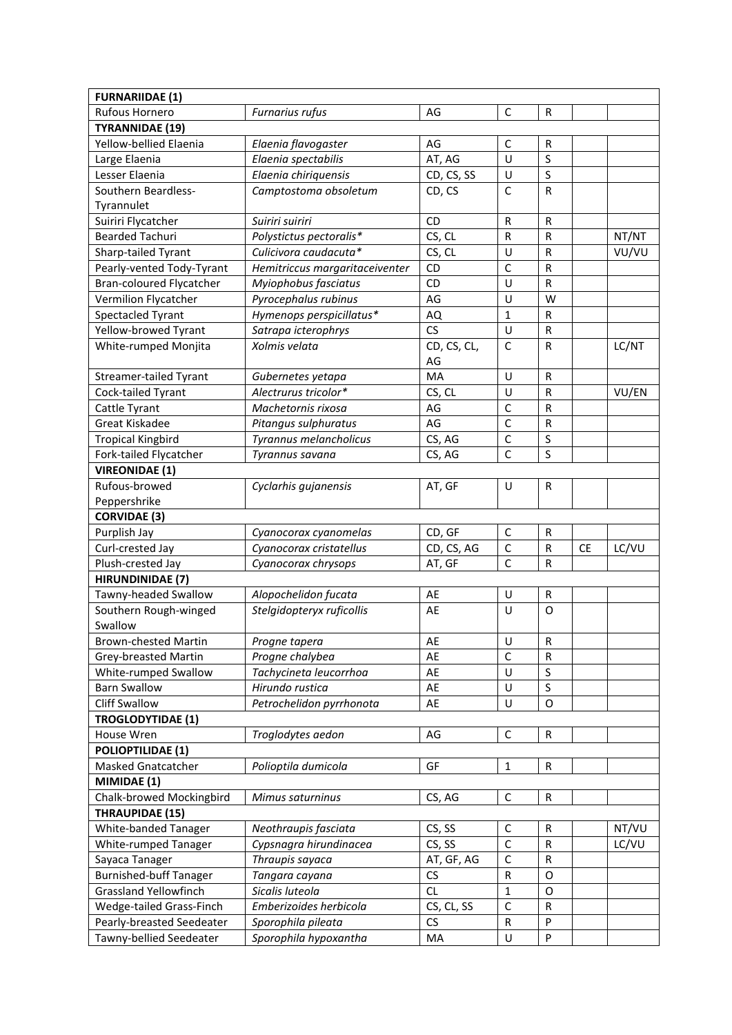| <b>FURNARIIDAE (1)</b>                                |                                              |                         |              |              |           |       |
|-------------------------------------------------------|----------------------------------------------|-------------------------|--------------|--------------|-----------|-------|
| Rufous Hornero                                        | Furnarius rufus                              | AG                      | $\mathsf C$  | R            |           |       |
| <b>TYRANNIDAE (19)</b>                                |                                              |                         |              |              |           |       |
| Yellow-bellied Elaenia                                | Elaenia flavogaster                          | AG                      | C            | R            |           |       |
| Large Elaenia                                         | Elaenia spectabilis                          | AT, AG                  | U            | S            |           |       |
| Lesser Elaenia                                        | Elaenia chiriquensis                         | CD, CS, SS              | U            | $\sf S$      |           |       |
| Southern Beardless-                                   | Camptostoma obsoletum                        | CD, CS                  | $\mathsf{C}$ | ${\sf R}$    |           |       |
| Tyrannulet                                            |                                              |                         |              |              |           |       |
| Suiriri Flycatcher                                    | Suiriri suiriri                              | <b>CD</b>               | $\mathsf R$  | $\mathsf R$  |           |       |
| <b>Bearded Tachuri</b>                                | Polystictus pectoralis*                      | CS, CL                  | ${\sf R}$    | $\mathsf{R}$ |           | NT/NT |
| Sharp-tailed Tyrant                                   | Culicivora caudacuta*                        | CS, CL                  | U            | R            |           | VU/VU |
| Pearly-vented Tody-Tyrant                             | Hemitriccus margaritaceiventer               | CD                      | $\mathsf{C}$ | R            |           |       |
| Bran-coloured Flycatcher                              | Myiophobus fasciatus                         | CD                      | U            | ${\sf R}$    |           |       |
| Vermilion Flycatcher                                  | Pyrocephalus rubinus                         | AG                      | U            | W            |           |       |
| Spectacled Tyrant                                     | Hymenops perspicillatus*                     | AQ                      | $\mathbf{1}$ | R            |           |       |
| Yellow-browed Tyrant                                  | Satrapa icterophrys                          | CS                      | U            | ${\sf R}$    |           |       |
| White-rumped Monjita                                  | Xolmis velata                                | CD, CS, CL,             | $\mathsf{C}$ | $\mathsf{R}$ |           | LC/NT |
|                                                       |                                              | AG                      |              |              |           |       |
| <b>Streamer-tailed Tyrant</b>                         | Gubernetes yetapa                            | MA                      | U            | ${\sf R}$    |           |       |
| Cock-tailed Tyrant                                    | Alectrurus tricolor*                         | CS, CL                  | U            | R            |           | VU/EN |
| Cattle Tyrant                                         | Machetornis rixosa                           | AG                      | $\mathsf{C}$ | R            |           |       |
| Great Kiskadee                                        | Pitangus sulphuratus                         | AG                      | $\mathsf{C}$ | R            |           |       |
| <b>Tropical Kingbird</b>                              | Tyrannus melancholicus                       | CS, AG                  | $\mathsf C$  | $\sf S$      |           |       |
| Fork-tailed Flycatcher                                | Tyrannus savana                              | CS, AG                  | C            | S            |           |       |
| <b>VIREONIDAE (1)</b>                                 |                                              |                         |              |              |           |       |
| Rufous-browed                                         | Cyclarhis gujanensis                         | AT, GF                  | U            | R            |           |       |
| Peppershrike                                          |                                              |                         |              |              |           |       |
| <b>CORVIDAE (3)</b>                                   |                                              |                         |              |              |           |       |
| Purplish Jay                                          | Cyanocorax cyanomelas                        | CD, GF                  | $\mathsf{C}$ | R            |           |       |
| Curl-crested Jay                                      | Cyanocorax cristatellus                      | CD, CS, AG              | $\mathsf{C}$ | R            | <b>CE</b> | LC/VU |
| Plush-crested Jay                                     | Cyanocorax chrysops                          | AT, GF                  | $\mathsf{C}$ | R            |           |       |
| <b>HIRUNDINIDAE (7)</b>                               |                                              |                         |              |              |           |       |
| Tawny-headed Swallow                                  | Alopochelidon fucata                         | AE                      | U            | R            |           |       |
| Southern Rough-winged                                 | Stelgidopteryx ruficollis                    | AE                      | U            | $\circ$      |           |       |
| Swallow                                               |                                              |                         |              |              |           |       |
| Brown-chested Martin                                  | Progne tapera                                | AE                      | $\sf U$      | ${\sf R}$    |           |       |
| Grey-breasted Martin                                  | Progne chalybea                              | AE                      | $\mathsf{C}$ | ${\sf R}$    |           |       |
| White-rumped Swallow                                  | Tachycineta leucorrhoa                       | AE                      | U            | S            |           |       |
| <b>Barn Swallow</b>                                   | Hirundo rustica                              | AE                      | U            | S            |           |       |
| <b>Cliff Swallow</b>                                  | Petrochelidon pyrrhonota                     | AE                      | U            | O            |           |       |
| <b>TROGLODYTIDAE (1)</b>                              |                                              |                         |              |              |           |       |
| House Wren                                            | Troglodytes aedon                            | AG                      | $\mathsf C$  | ${\sf R}$    |           |       |
| <b>POLIOPTILIDAE (1)</b>                              |                                              |                         |              |              |           |       |
| <b>Masked Gnatcatcher</b>                             | Polioptila dumicola                          | GF                      | $\mathbf{1}$ | ${\sf R}$    |           |       |
| MIMIDAE (1)                                           |                                              |                         |              |              |           |       |
| Chalk-browed Mockingbird                              | Mimus saturninus                             | CS, AG                  | $\mathsf C$  | ${\sf R}$    |           |       |
| <b>THRAUPIDAE (15)</b>                                |                                              |                         |              |              |           |       |
| White-banded Tanager                                  | Neothraupis fasciata                         | CS, SS                  | $\mathsf{C}$ | R            |           | NT/VU |
| White-rumped Tanager                                  | Cypsnagra hirundinacea                       | CS, SS                  | $\mathsf C$  | R            |           | LC/VU |
| Sayaca Tanager                                        | Thraupis sayaca                              | AT, GF, AG              | $\mathsf C$  | R            |           |       |
| <b>Burnished-buff Tanager</b>                         | Tangara cayana                               | CS                      | ${\sf R}$    | O            |           |       |
| <b>Grassland Yellowfinch</b>                          |                                              |                         |              |              |           |       |
|                                                       |                                              | <b>CL</b>               | $\mathbf{1}$ | O            |           |       |
|                                                       | Sicalis luteola                              |                         | $\mathsf{C}$ | R            |           |       |
| Wedge-tailed Grass-Finch<br>Pearly-breasted Seedeater | Emberizoides herbicola<br>Sporophila pileata | CS, CL, SS<br><b>CS</b> | ${\sf R}$    | P            |           |       |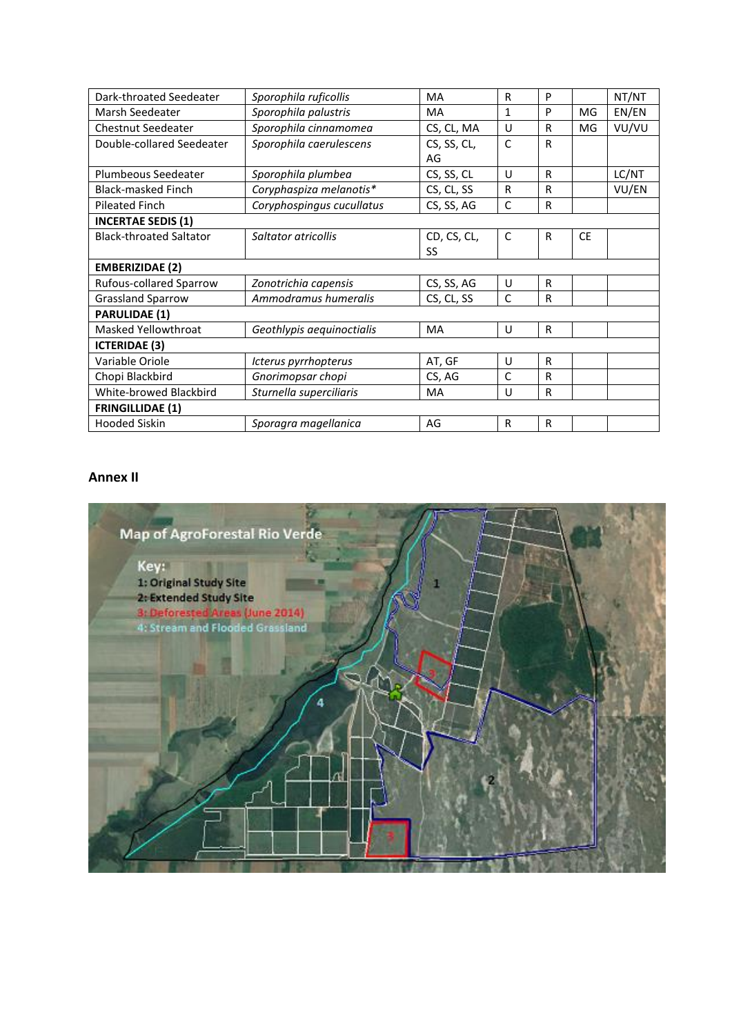| Dark-throated Seedeater        | Sporophila ruficollis     | <b>MA</b>   | R            | P            |           | NT/NT |  |  |
|--------------------------------|---------------------------|-------------|--------------|--------------|-----------|-------|--|--|
| Marsh Seedeater                | Sporophila palustris      | <b>MA</b>   | $\mathbf{1}$ | P            | MG        | EN/EN |  |  |
| <b>Chestnut Seedeater</b>      | Sporophila cinnamomea     | CS, CL, MA  | U            | R            | MG        | VU/VU |  |  |
| Double-collared Seedeater      | Sporophila caerulescens   | CS, SS, CL, | $\mathsf{C}$ | R            |           |       |  |  |
|                                |                           | AG          |              |              |           |       |  |  |
| Plumbeous Seedeater            | Sporophila plumbea        | CS, SS, CL  | U            | R            |           | LC/NT |  |  |
| <b>Black-masked Finch</b>      | Coryphaspiza melanotis*   | CS, CL, SS  | R            | R            |           | VU/EN |  |  |
| <b>Pileated Finch</b>          | Coryphospingus cucullatus | CS, SS, AG  | C            | $\mathsf{R}$ |           |       |  |  |
| <b>INCERTAE SEDIS (1)</b>      |                           |             |              |              |           |       |  |  |
| <b>Black-throated Saltator</b> | Saltator atricollis       | CD, CS, CL, | $\mathsf{C}$ | R            | <b>CE</b> |       |  |  |
|                                |                           | SS          |              |              |           |       |  |  |
| <b>EMBERIZIDAE (2)</b>         |                           |             |              |              |           |       |  |  |
| Rufous-collared Sparrow        | Zonotrichia capensis      | CS, SS, AG  | U            | R            |           |       |  |  |
| <b>Grassland Sparrow</b>       | Ammodramus humeralis      | CS, CL, SS  | $\mathsf{C}$ | $\mathsf{R}$ |           |       |  |  |
| <b>PARULIDAE (1)</b>           |                           |             |              |              |           |       |  |  |
| <b>Masked Yellowthroat</b>     | Geothlypis aequinoctialis | <b>MA</b>   | U            | $\mathsf{R}$ |           |       |  |  |
| <b>ICTERIDAE (3)</b>           |                           |             |              |              |           |       |  |  |
| Variable Oriole                | Icterus pyrrhopterus      | AT, GF      | U            | R            |           |       |  |  |
| Chopi Blackbird                | Gnorimopsar chopi         | CS, AG      | $\mathsf{C}$ | R            |           |       |  |  |
| White-browed Blackbird         | Sturnella superciliaris   | <b>MA</b>   | U            | R            |           |       |  |  |
| <b>FRINGILLIDAE (1)</b>        |                           |             |              |              |           |       |  |  |
| <b>Hooded Siskin</b>           | Sporagra magellanica      | AG          | R            | R            |           |       |  |  |

### **Annex II**